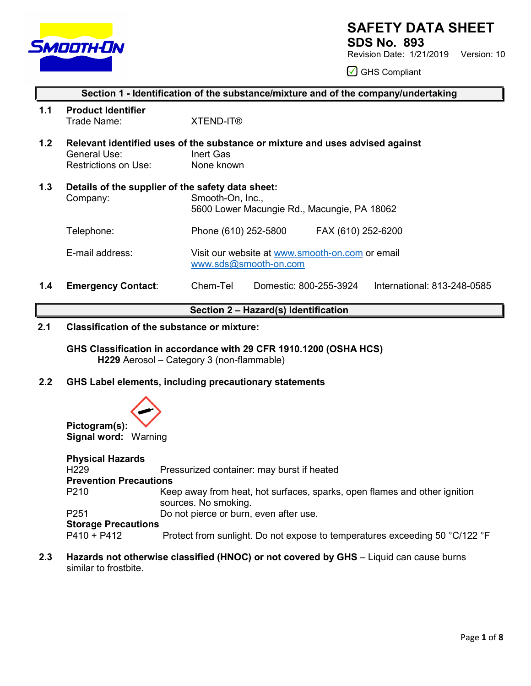

# **SAFETY DATA SHEET**

**SDS No. 893**

Revision Date: 1/21/2019 Version: 10

◯ GHS Compliant

# **Section 1 - Identification of the substance/mixture and of the company/undertaking**

**1.1 Product Identifier** Trade Name: XTEND-IT®

- **1.2 Relevant identified uses of the substance or mixture and uses advised against**  General Use: Inert Gas Restrictions on Use: None known
- **1.3 Details of the supplier of the safety data sheet:** Company: Smooth-On, Inc., 5600 Lower Macungie Rd., Macungie, PA 18062 Telephone: Phone (610) 252-5800 FAX (610) 252-6200 E-mail address: Visit our website at [www.smooth-on.com](http://www.smooth-on.com/) or email [www.sds@smooth-on.com](http://www.sds@smooth-on.com)
- **1.4 Emergency Contact**: Chem-Tel Domestic: 800-255-3924 International: 813-248-0585

# **Section 2 – Hazard(s) Identification**

## **2.1 Classification of the substance or mixture:**

**GHS Classification in accordance with 29 CFR 1910.1200 (OSHA HCS) H229** Aerosol – Category 3 (non-flammable)

# **2.2 GHS Label elements, including precautionary statements**



| <b>Physical Hazards</b>       |                                                                                                   |
|-------------------------------|---------------------------------------------------------------------------------------------------|
| H <sub>229</sub>              | Pressurized container: may burst if heated                                                        |
| <b>Prevention Precautions</b> |                                                                                                   |
| P <sub>210</sub>              | Keep away from heat, hot surfaces, sparks, open flames and other ignition<br>sources. No smoking. |
| P <sub>251</sub>              | Do not pierce or burn, even after use.                                                            |
| <b>Storage Precautions</b>    |                                                                                                   |
| $P410 + P412$                 | Protect from sunlight. Do not expose to temperatures exceeding 50 °C/122 °F                       |

**2.3 Hazards not otherwise classified (HNOC) or not covered by GHS** – Liquid can cause burns similar to frostbite.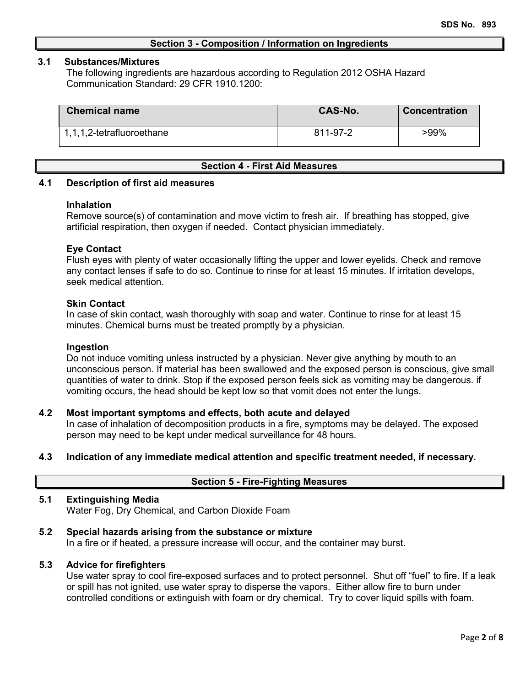## **Section 3 - Composition / Information on Ingredients**

#### **3.1 Substances/Mixtures**

The following ingredients are hazardous according to Regulation 2012 OSHA Hazard Communication Standard: 29 CFR 1910.1200:

| <b>Chemical name</b>      | <b>CAS-No.</b> | <b>Concentration</b> |
|---------------------------|----------------|----------------------|
| 1,1,1,2-tetrafluoroethane | 811-97-2       | $>99\%$              |

## **Section 4 - First Aid Measures**

## **4.1 Description of first aid measures**

#### **Inhalation**

Remove source(s) of contamination and move victim to fresh air. If breathing has stopped, give artificial respiration, then oxygen if needed. Contact physician immediately.

## **Eye Contact**

Flush eyes with plenty of water occasionally lifting the upper and lower eyelids. Check and remove any contact lenses if safe to do so. Continue to rinse for at least 15 minutes. If irritation develops, seek medical attention.

#### **Skin Contact**

In case of skin contact, wash thoroughly with soap and water. Continue to rinse for at least 15 minutes. Chemical burns must be treated promptly by a physician.

#### **Ingestion**

Do not induce vomiting unless instructed by a physician. Never give anything by mouth to an unconscious person. If material has been swallowed and the exposed person is conscious, give small quantities of water to drink. Stop if the exposed person feels sick as vomiting may be dangerous. if vomiting occurs, the head should be kept low so that vomit does not enter the lungs.

## **4.2 Most important symptoms and effects, both acute and delayed**

In case of inhalation of decomposition products in a fire, symptoms may be delayed. The exposed person may need to be kept under medical surveillance for 48 hours.

# **4.3 Indication of any immediate medical attention and specific treatment needed, if necessary.**

## **Section 5 - Fire-Fighting Measures**

## **5.1 Extinguishing Media**

Water Fog, Dry Chemical, and Carbon Dioxide Foam

## **5.2 Special hazards arising from the substance or mixture**

In a fire or if heated, a pressure increase will occur, and the container may burst.

#### **5.3 Advice for firefighters**

Use water spray to cool fire-exposed surfaces and to protect personnel. Shut off "fuel" to fire. If a leak or spill has not ignited, use water spray to disperse the vapors. Either allow fire to burn under controlled conditions or extinguish with foam or dry chemical. Try to cover liquid spills with foam.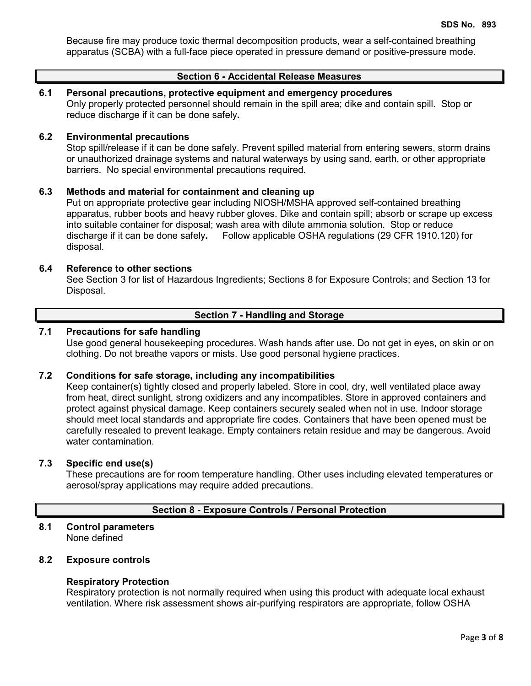Because fire may produce toxic thermal decomposition products, wear a self-contained breathing apparatus (SCBA) with a full-face piece operated in pressure demand or positive-pressure mode.

# **Section 6 - Accidental Release Measures**

## **6.1 Personal precautions, protective equipment and emergency procedures**

Only properly protected personnel should remain in the spill area; dike and contain spill. Stop or reduce discharge if it can be done safely**.**

### **6.2 Environmental precautions**

Stop spill/release if it can be done safely. Prevent spilled material from entering sewers, storm drains or unauthorized drainage systems and natural waterways by using sand, earth, or other appropriate barriers.No special environmental precautions required.

# **6.3 Methods and material for containment and cleaning up**

Put on appropriate protective gear including NIOSH/MSHA approved self-contained breathing apparatus, rubber boots and heavy rubber gloves. Dike and contain spill; absorb or scrape up excess into suitable container for disposal; wash area with dilute ammonia solution. Stop or reduce discharge if it can be done safely**.** Follow applicable OSHA regulations (29 CFR 1910.120) for disposal.

#### **6.4 Reference to other sections**

See Section 3 for list of Hazardous Ingredients; Sections 8 for Exposure Controls; and Section 13 for Disposal.

# **Section 7 - Handling and Storage**

#### **7.1 Precautions for safe handling**

Use good general housekeeping procedures. Wash hands after use. Do not get in eyes, on skin or on clothing. Do not breathe vapors or mists. Use good personal hygiene practices.

#### **7.2 Conditions for safe storage, including any incompatibilities**

Keep container(s) tightly closed and properly labeled. Store in cool, dry, well ventilated place away from heat, direct sunlight, strong oxidizers and any incompatibles. Store in approved containers and protect against physical damage. Keep containers securely sealed when not in use. Indoor storage should meet local standards and appropriate fire codes. Containers that have been opened must be carefully resealed to prevent leakage. Empty containers retain residue and may be dangerous. Avoid water contamination.

#### **7.3 Specific end use(s)**

These precautions are for room temperature handling. Other uses including elevated temperatures or aerosol/spray applications may require added precautions.

# **Section 8 - Exposure Controls / Personal Protection**

#### **8.1 Control parameters** None defined

## **8.2 Exposure controls**

#### **Respiratory Protection**

Respiratory protection is not normally required when using this product with adequate local exhaust ventilation. Where risk assessment shows air-purifying respirators are appropriate, follow OSHA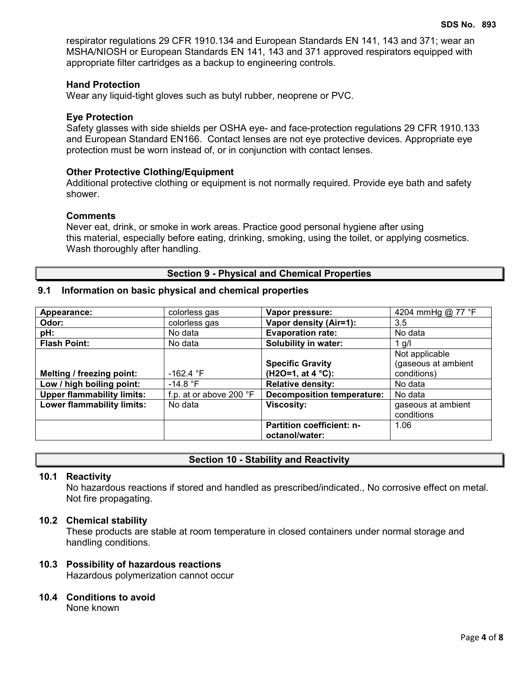respirator regulations 29 CFR 1910.134 and European Standards EN 141, 143 and 371; wear an MSHA/NIOSH or European Standards EN 141, 143 and 371 approved respirators equipped with appropriate filter cartridges as a backup to engineering controls.

## **Hand Protection**

Wear any liquid-tight gloves such as butyl rubber, neoprene or PVC.

#### **Eye Protection**

Safety glasses with side shields per OSHA eye- and face-protection regulations 29 CFR 1910.133 and European Standard EN166. Contact lenses are not eye protective devices. Appropriate eye protection must be worn instead of, or in conjunction with contact lenses.

#### **Other Protective Clothing/Equipment**

Additional protective clothing or equipment is not normally required. Provide eye bath and safety shower.

#### **Comments**

Never eat, drink, or smoke in work areas. Practice good personal hygiene after using this material, especially before eating, drinking, smoking, using the toilet, or applying cosmetics. Wash thoroughly after handling.

#### **Section 9 - Physical and Chemical Properties**

## **9.1 Information on basic physical and chemical properties**

| Appearance:                       | colorless gas           | Vapor pressure:                                    | 4204 mmHg @ 77 °F                     |
|-----------------------------------|-------------------------|----------------------------------------------------|---------------------------------------|
| Odor:                             | colorless gas           | Vapor density (Air=1):                             | 3.5                                   |
| pH:                               | No data                 | <b>Evaporation rate:</b>                           | No data                               |
| <b>Flash Point:</b>               | No data                 | Solubility in water:                               | 1 g/l                                 |
|                                   |                         | <b>Specific Gravity</b>                            | Not applicable<br>(gaseous at ambient |
| Melting / freezing point:         | -162.4 $\degree$ F      | $(H2O=1, at 4 °C):$                                | conditions)                           |
| Low / high boiling point:         | $-14.8$ $\degree$ F     | <b>Relative density:</b>                           | No data                               |
| <b>Upper flammability limits:</b> | f.p. at or above 200 °F | <b>Decomposition temperature:</b>                  | No data                               |
| <b>Lower flammability limits:</b> | No data                 | <b>Viscosity:</b>                                  | gaseous at ambient<br>conditions      |
|                                   |                         | <b>Partition coefficient: n-</b><br>octanol/water: | 1.06                                  |

## **Section 10 - Stability and Reactivity**

## **10.1 Reactivity**

No hazardous reactions if stored and handled as prescribed/indicated., No corrosive effect on metal. Not fire propagating.

#### **10.2 Chemical stability**

These products are stable at room temperature in closed containers under normal storage and handling conditions.

## **10.3 Possibility of hazardous reactions**

Hazardous polymerization cannot occur

#### **10.4 Conditions to avoid**

None known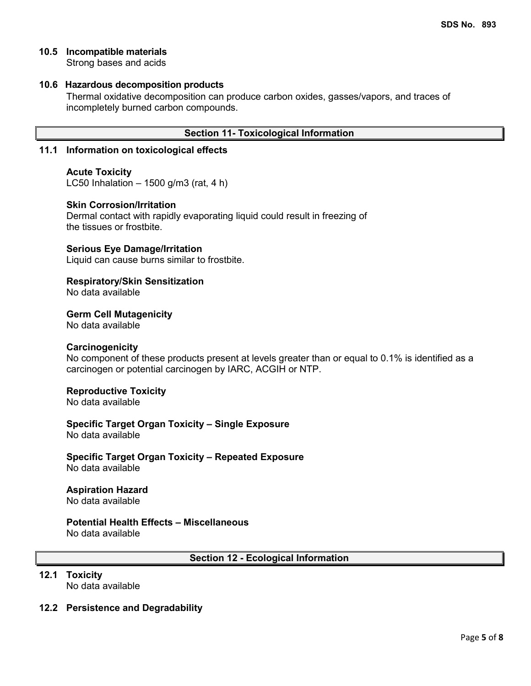# **10.5 Incompatible materials**

Strong bases and acids

## **10.6 Hazardous decomposition products**

Thermal oxidative decomposition can produce carbon oxides, gasses/vapors, and traces of incompletely burned carbon compounds.

## **Section 11- Toxicological Information**

#### **11.1 Information on toxicological effects**

#### **Acute Toxicity**

LC50 Inhalation  $-1500$  g/m3 (rat, 4 h)

#### **Skin Corrosion/Irritation**

Dermal contact with rapidly evaporating liquid could result in freezing of the tissues or frostbite.

#### **Serious Eye Damage/Irritation**

Liquid can cause burns similar to frostbite.

#### **Respiratory/Skin Sensitization**

No data available

## **Germ Cell Mutagenicity**

No data available

#### **Carcinogenicity**

No component of these products present at levels greater than or equal to 0.1% is identified as a carcinogen or potential carcinogen by IARC, ACGIH or NTP.

#### **Reproductive Toxicity**

No data available

**Specific Target Organ Toxicity – Single Exposure** No data available

**Specific Target Organ Toxicity – Repeated Exposure** No data available

## **Aspiration Hazard**

No data available

# **Potential Health Effects – Miscellaneous**

No data available

**Section 12 - Ecological Information**

# **12.1 Toxicity**

No data available

## **12.2 Persistence and Degradability**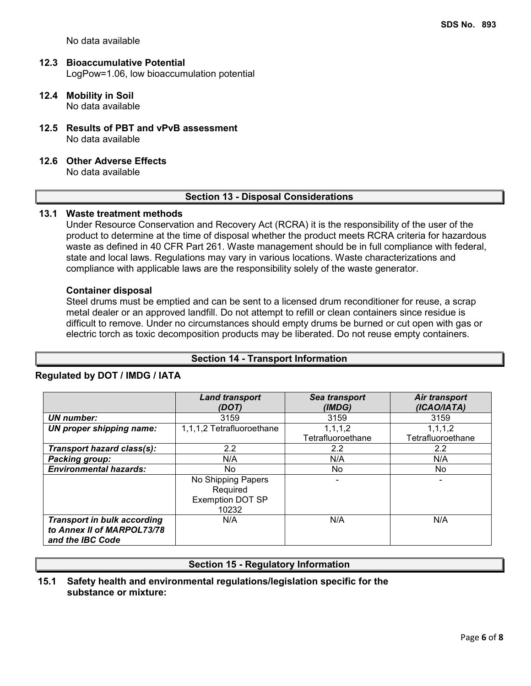No data available

#### **12.3 Bioaccumulative Potential** LogPow=1.06, low bioaccumulation potential

- **12.4 Mobility in Soil** No data available
- **12.5 Results of PBT and vPvB assessment** No data available
- **12.6 Other Adverse Effects**

No data available

## **Section 13 - Disposal Considerations**

## **13.1 Waste treatment methods**

Under Resource Conservation and Recovery Act (RCRA) it is the responsibility of the user of the product to determine at the time of disposal whether the product meets RCRA criteria for hazardous waste as defined in 40 CFR Part 261. Waste management should be in full compliance with federal, state and local laws. Regulations may vary in various locations. Waste characterizations and compliance with applicable laws are the responsibility solely of the waste generator.

#### **Container disposal**

Steel drums must be emptied and can be sent to a licensed drum reconditioner for reuse, a scrap metal dealer or an approved landfill. Do not attempt to refill or clean containers since residue is difficult to remove. Under no circumstances should empty drums be burned or cut open with gas or electric torch as toxic decomposition products may be liberated. Do not reuse empty containers.

## **Section 14 - Transport Information**

## **Regulated by DOT / IMDG / IATA**

|                                                                                      | <b>Land transport</b><br>(DOT)                              | Sea transport<br>(IMDG) | Air transport<br>(ICAO/IATA) |
|--------------------------------------------------------------------------------------|-------------------------------------------------------------|-------------------------|------------------------------|
| UN number:                                                                           | 3159                                                        | 3159                    | 3159                         |
| UN proper shipping name:                                                             | 1,1,1,2 Tetrafluoroethane                                   | 1, 1, 1, 2              | 1, 1, 1, 2                   |
|                                                                                      |                                                             | Tetrafluoroethane       | Tetrafluoroethane            |
| Transport hazard class(s):                                                           | $2.2\,$                                                     | 2.2                     | 2.2                          |
| <b>Packing group:</b>                                                                | N/A                                                         | N/A                     | N/A                          |
| <b>Environmental hazards:</b>                                                        | No.                                                         | No.                     | No.                          |
|                                                                                      | No Shipping Papers<br>Required<br>Exemption DOT SP<br>10232 |                         |                              |
| <b>Transport in bulk according</b><br>to Annex II of MARPOL73/78<br>and the IBC Code | N/A                                                         | N/A                     | N/A                          |

## **Section 15 - Regulatory Information**

## **15.1 Safety health and environmental regulations/legislation specific for the substance or mixture:**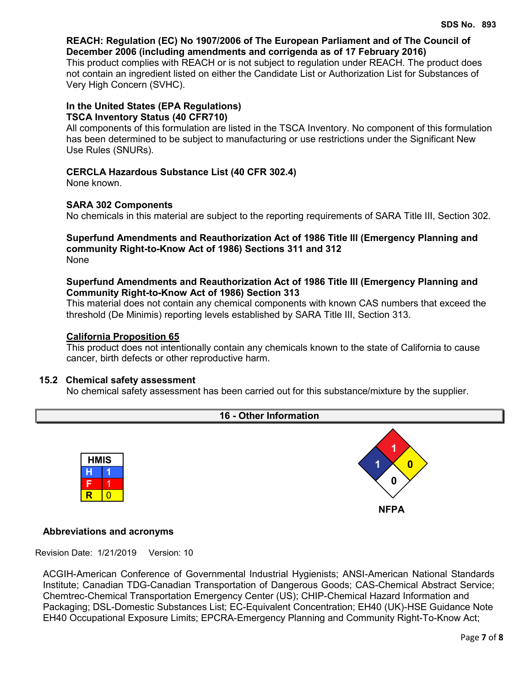# **REACH: Regulation (EC) No 1907/2006 of The European Parliament and of The Council of December 2006 (including amendments and corrigenda as of 17 February 2016)**

This product complies with REACH or is not subject to regulation under REACH. The product does not contain an ingredient listed on either the Candidate List or Authorization List for Substances of Very High Concern (SVHC).

# **In the United States (EPA Regulations) TSCA Inventory Status (40 CFR710)**

All components of this formulation are listed in the TSCA Inventory. No component of this formulation has been determined to be subject to manufacturing or use restrictions under the Significant New Use Rules (SNURs).

# **CERCLA Hazardous Substance List (40 CFR 302.4)**

None known.

# **SARA 302 Components**

No chemicals in this material are subject to the reporting requirements of SARA Title III, Section 302.

### **Superfund Amendments and Reauthorization Act of 1986 Title lll (Emergency Planning and community Right-to-Know Act of 1986) Sections 311 and 312** None

# **Superfund Amendments and Reauthorization Act of 1986 Title lll (Emergency Planning and Community Right-to-Know Act of 1986) Section 313**

This material does not contain any chemical components with known CAS numbers that exceed the threshold (De Minimis) reporting levels established by SARA Title III, Section 313.

# **California Proposition 65**

This product does not intentionally contain any chemicals known to the state of California to cause cancer, birth defects or other reproductive harm.

# **15.2 Chemical safety assessment**

No chemical safety assessment has been carried out for this substance/mixture by the supplier.



# **Abbreviations and acronyms**

Revision Date: 1/21/2019 Version: 10

ACGIH-American Conference of Governmental Industrial Hygienists; ANSI-American National Standards Institute; Canadian TDG-Canadian Transportation of Dangerous Goods; CAS-Chemical Abstract Service; Chemtrec-Chemical Transportation Emergency Center (US); CHIP-Chemical Hazard Information and Packaging; DSL-Domestic Substances List; EC-Equivalent Concentration; EH40 (UK)-HSE Guidance Note EH40 Occupational Exposure Limits; EPCRA-Emergency Planning and Community Right-To-Know Act;